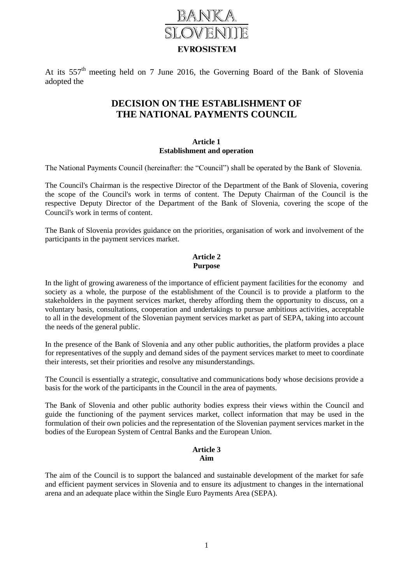

At its 557<sup>th</sup> meeting held on 7 June 2016, the Governing Board of the Bank of Slovenia adopted the

# **DECISION ON THE ESTABLISHMENT OF THE NATIONAL PAYMENTS COUNCIL**

### **Article 1 Establishment and operation**

The National Payments Council (hereinafter: the "Council") shall be operated by the Bank of Slovenia.

The Council's Chairman is the respective Director of the Department of the Bank of Slovenia, covering the scope of the Council's work in terms of content. The Deputy Chairman of the Council is the respective Deputy Director of the Department of the Bank of Slovenia, covering the scope of the Council's work in terms of content.

The Bank of Slovenia provides guidance on the priorities, organisation of work and involvement of the participants in the payment services market.

# **Article 2 Purpose**

In the light of growing awareness of the importance of efficient payment facilities for the economy and society as a whole, the purpose of the establishment of the Council is to provide a platform to the stakeholders in the payment services market, thereby affording them the opportunity to discuss, on a voluntary basis, consultations, cooperation and undertakings to pursue ambitious activities, acceptable to all in the development of the Slovenian payment services market as part of SEPA, taking into account the needs of the general public.

In the presence of the Bank of Slovenia and any other public authorities, the platform provides a place for representatives of the supply and demand sides of the payment services market to meet to coordinate their interests, set their priorities and resolve any misunderstandings.

The Council is essentially a strategic, consultative and communications body whose decisions provide a basis for the work of the participants in the Council in the area of payments.

The Bank of Slovenia and other public authority bodies express their views within the Council and guide the functioning of the payment services market, collect information that may be used in the formulation of their own policies and the representation of the Slovenian payment services market in the bodies of the European System of Central Banks and the European Union.

## **Article 3 Aim**

The aim of the Council is to support the balanced and sustainable development of the market for safe and efficient payment services in Slovenia and to ensure its adjustment to changes in the international arena and an adequate place within the Single Euro Payments Area (SEPA).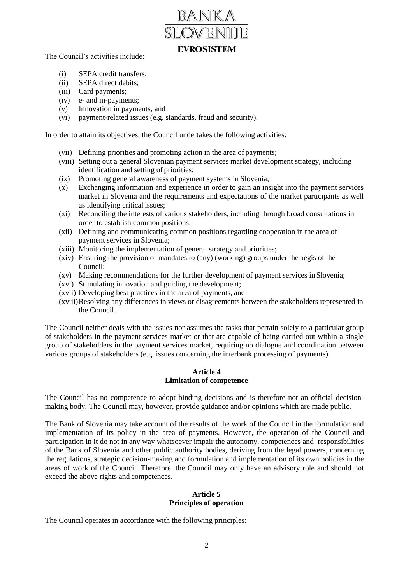

The Council's activities include:

- (i) SEPA credit transfers;
- (ii) SEPA direct debits;
- (iii) Card payments;
- (iv) e- and m-payments;
- (v) Innovation in payments, and
- (vi) payment-related issues (e.g. standards, fraud and security).

In order to attain its objectives, the Council undertakes the following activities:

- (vii) Defining priorities and promoting action in the area of payments;
- (viii) Setting out a general Slovenian payment services market development strategy, including identification and setting of priorities;
- (ix) Promoting general awareness of payment systems in Slovenia;
- (x) Exchanging information and experience in order to gain an insight into the payment services market in Slovenia and the requirements and expectations of the market participants as well as identifying critical issues;
- (xi) Reconciling the interests of various stakeholders, including through broad consultations in order to establish common positions;
- (xii) Defining and communicating common positions regarding cooperation in the area of payment services in Slovenia;
- (xiii) Monitoring the implementation of general strategy and priorities;
- (xiv) Ensuring the provision of mandates to (any) (working) groups under the aegis of the Council;
- (xv) Making recommendations for the further development of payment services in Slovenia;
- (xvi) Stimulating innovation and guiding the development;
- (xvii) Developing best practices in the area of payments, and
- (xviii)Resolving any differences in views or disagreements between the stakeholders represented in the Council.

The Council neither deals with the issues nor assumes the tasks that pertain solely to a particular group of stakeholders in the payment services market or that are capable of being carried out within a single group of stakeholders in the payment services market, requiring no dialogue and coordination between various groups of stakeholders (e.g. issues concerning the interbank processing of payments).

#### **Article 4 Limitation of competence**

The Council has no competence to adopt binding decisions and is therefore not an official decisionmaking body. The Council may, however, provide guidance and/or opinions which are made public.

The Bank of Slovenia may take account of the results of the work of the Council in the formulation and implementation of its policy in the area of payments. However, the operation of the Council and participation in it do not in any way whatsoever impair the autonomy, competences and responsibilities of the Bank of Slovenia and other public authority bodies, deriving from the legal powers, concerning the regulations, strategic decision-making and formulation and implementation of its own policies in the areas of work of the Council. Therefore, the Council may only have an advisory role and should not exceed the above rights and competences.

#### **Article 5 Principles of operation**

The Council operates in accordance with the following principles: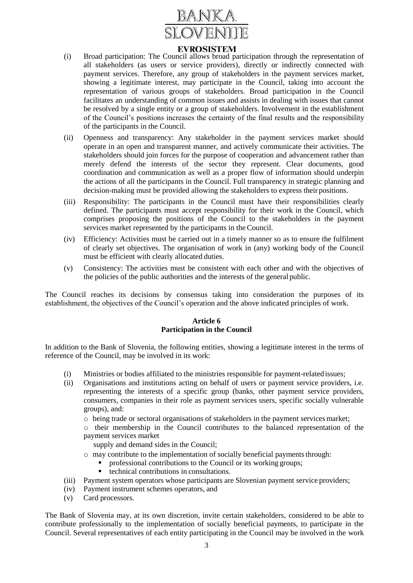

# **EVROSISTEM**

- (i) Broad participation: The Council allows broad participation through the representation of all stakeholders (as users or service providers), directly or indirectly connected with payment services. Therefore, any group of stakeholders in the payment services market, showing a legitimate interest, may participate in the Council, taking into account the representation of various groups of stakeholders. Broad participation in the Council facilitates an understanding of common issues and assists in dealing with issues that cannot be resolved by a single entity or a group of stakeholders. Involvement in the establishment of the Council's positions increases the certainty of the final results and the responsibility of the participants in the Council.
- (ii) Openness and transparency: Any stakeholder in the payment services market should operate in an open and transparent manner, and actively communicate their activities. The stakeholders should join forces for the purpose of cooperation and advancement rather than merely defend the interests of the sector they represent. Clear documents, good coordination and communication as well as a proper flow of information should underpin the actions of all the participants in the Council. Full transparency in strategic planning and decision-making must be provided allowing the stakeholders to express their positions.
- (iii) Responsibility: The participants in the Council must have their responsibilities clearly defined. The participants must accept responsibility for their work in the Council, which comprises proposing the positions of the Council to the stakeholders in the payment services market represented by the participants in the Council.
- (iv) Efficiency: Activities must be carried out in a timely manner so as to ensure the fulfilment of clearly set objectives. The organisation of work in (any) working body of the Council must be efficient with clearly allocated duties.
- (v) Consistency: The activities must be consistent with each other and with the objectives of the policies of the public authorities and the interests of the general public.

The Council reaches its decisions by consensus taking into consideration the purposes of its establishment, the objectives of the Council's operation and the above indicated principles of work.

## **Article 6 Participation in the Council**

In addition to the Bank of Slovenia, the following entities, showing a legitimate interest in the terms of reference of the Council, may be involved in its work:

- (i) Ministries or bodies affiliated to the ministries responsible for payment-relatedissues;
- (ii) Organisations and institutions acting on behalf of users or payment service providers, i.e. representing the interests of a specific group (banks, other payment service providers, consumers, companies in their role as payment services users, specific socially vulnerable groups), and:
	- o being trade or sectoral organisations of stakeholders in the payment services market;
	- o their membership in the Council contributes to the balanced representation of the payment services market

supply and demand sides in the Council;

- $\circ$  may contribute to the implementation of socially beneficial payments through:
	- professional contributions to the Council or its working groups;
	- technical contributions in consultations.
- (iii) Payment system operators whose participants are Slovenian payment service providers;
- (iv) Payment instrument schemes operators, and
- (v) Card processors.

The Bank of Slovenia may, at its own discretion, invite certain stakeholders, considered to be able to contribute professionally to the implementation of socially beneficial payments, to participate in the Council. Several representatives of each entity participating in the Council may be involved in the work